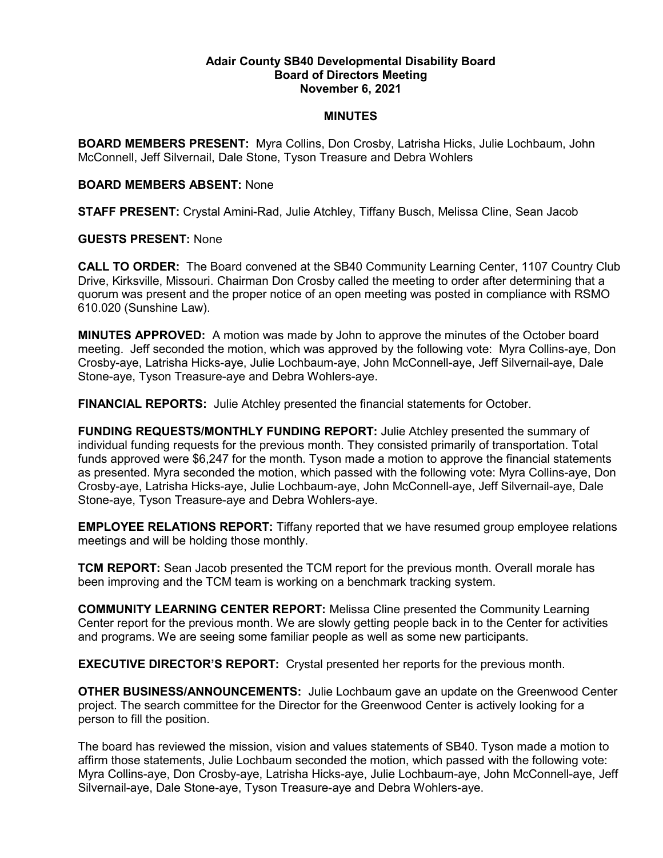## **Adair County SB40 Developmental Disability Board Board of Directors Meeting November 6, 2021**

## **MINUTES**

**BOARD MEMBERS PRESENT:** Myra Collins, Don Crosby, Latrisha Hicks, Julie Lochbaum, John McConnell, Jeff Silvernail, Dale Stone, Tyson Treasure and Debra Wohlers

## **BOARD MEMBERS ABSENT:** None

**STAFF PRESENT:** Crystal Amini-Rad, Julie Atchley, Tiffany Busch, Melissa Cline, Sean Jacob

## **GUESTS PRESENT:** None

**CALL TO ORDER:** The Board convened at the SB40 Community Learning Center, 1107 Country Club Drive, Kirksville, Missouri. Chairman Don Crosby called the meeting to order after determining that a quorum was present and the proper notice of an open meeting was posted in compliance with RSMO 610.020 (Sunshine Law).

**MINUTES APPROVED:** A motion was made by John to approve the minutes of the October board meeting. Jeff seconded the motion, which was approved by the following vote: Myra Collins-aye, Don Crosby-aye, Latrisha Hicks-aye, Julie Lochbaum-aye, John McConnell-aye, Jeff Silvernail-aye, Dale Stone-aye, Tyson Treasure-aye and Debra Wohlers-aye.

**FINANCIAL REPORTS:** Julie Atchley presented the financial statements for October.

**FUNDING REQUESTS/MONTHLY FUNDING REPORT:** Julie Atchley presented the summary of individual funding requests for the previous month. They consisted primarily of transportation. Total funds approved were \$6,247 for the month. Tyson made a motion to approve the financial statements as presented. Myra seconded the motion, which passed with the following vote: Myra Collins-aye, Don Crosby-aye, Latrisha Hicks-aye, Julie Lochbaum-aye, John McConnell-aye, Jeff Silvernail-aye, Dale Stone-aye, Tyson Treasure-aye and Debra Wohlers-aye.

**EMPLOYEE RELATIONS REPORT:** Tiffany reported that we have resumed group employee relations meetings and will be holding those monthly.

**TCM REPORT:** Sean Jacob presented the TCM report for the previous month. Overall morale has been improving and the TCM team is working on a benchmark tracking system.

**COMMUNITY LEARNING CENTER REPORT:** Melissa Cline presented the Community Learning Center report for the previous month. We are slowly getting people back in to the Center for activities and programs. We are seeing some familiar people as well as some new participants.

**EXECUTIVE DIRECTOR'S REPORT:** Crystal presented her reports for the previous month.

**OTHER BUSINESS/ANNOUNCEMENTS:** Julie Lochbaum gave an update on the Greenwood Center project. The search committee for the Director for the Greenwood Center is actively looking for a person to fill the position.

The board has reviewed the mission, vision and values statements of SB40. Tyson made a motion to affirm those statements, Julie Lochbaum seconded the motion, which passed with the following vote: Myra Collins-aye, Don Crosby-aye, Latrisha Hicks-aye, Julie Lochbaum-aye, John McConnell-aye, Jeff Silvernail-aye, Dale Stone-aye, Tyson Treasure-aye and Debra Wohlers-aye.